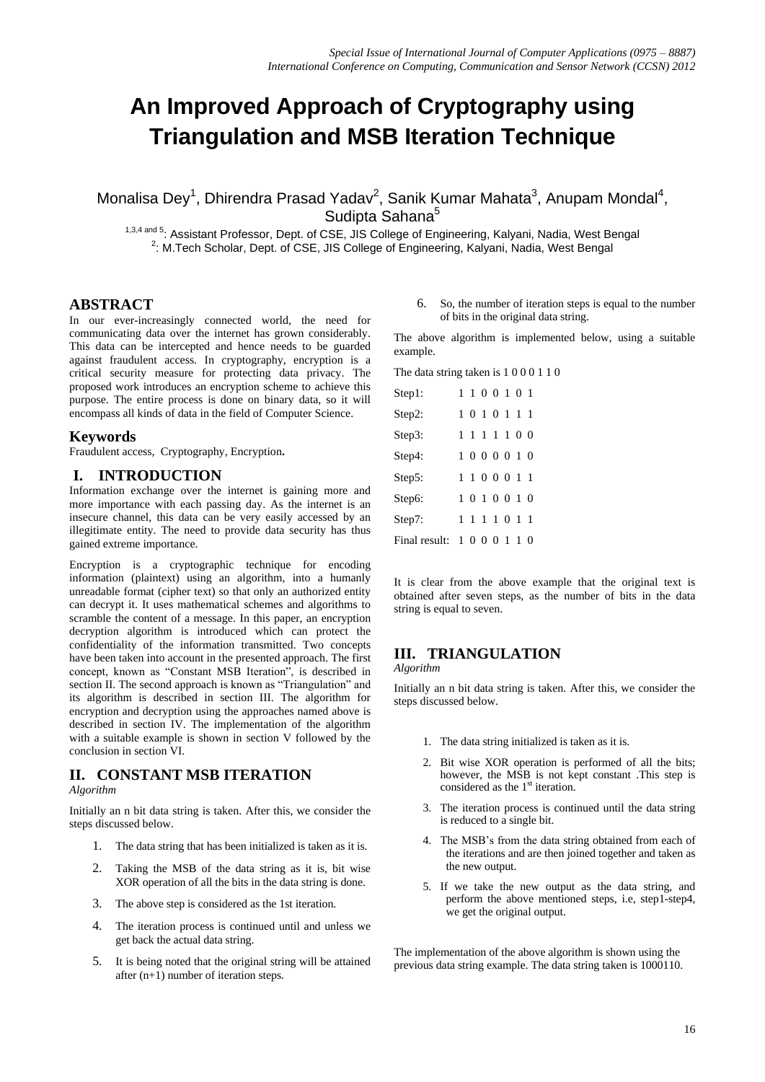# **An Improved Approach of Cryptography using Triangulation and MSB Iteration Technique**

Monalisa Dey<sup>1</sup>, Dhirendra Prasad Yadav<sup>2</sup>, Sanik Kumar Mahata<sup>3</sup>, Anupam Mondal<sup>4</sup>, Sudipta Sahana<sup>5</sup>

1,3,4 and 5: Assistant Professor, Dept. of CSE, JIS College of Engineering, Kalyani, Nadia, West Bengal <sup>2</sup>: M.Tech Scholar, Dept. of CSE, JIS College of Engineering, Kalyani, Nadia, West Bengal

# **ABSTRACT**

In our ever-increasingly connected world, the need for communicating data over the internet has grown considerably. This data can be intercepted and hence needs to be guarded against fraudulent access. In cryptography, encryption is a critical security measure for protecting data privacy. The proposed work introduces an encryption scheme to achieve this purpose. The entire process is done on binary data, so it will encompass all kinds of data in the field of Computer Science.

### **Keywords**

Fraudulent access, Cryptography, Encryption**.**

## **I. INTRODUCTION**

Information exchange over the internet is gaining more and more importance with each passing day. As the internet is an insecure channel, this data can be very easily accessed by an illegitimate entity. The need to provide data security has thus gained extreme importance.

Encryption is a cryptographic technique for encoding information (plaintext) using an algorithm, into a humanly unreadable format (cipher text) so that only an authorized entity can decrypt it. It uses mathematical schemes and algorithms to scramble the content of a message. In this paper, an encryption decryption algorithm is introduced which can protect the confidentiality of the information transmitted. Two concepts have been taken into account in the presented approach. The first concept, known as "Constant MSB Iteration", is described in section II. The second approach is known as "Triangulation" and its algorithm is described in section III. The algorithm for encryption and decryption using the approaches named above is described in section IV. The implementation of the algorithm with a suitable example is shown in section V followed by the conclusion in section VI.

## **II. CONSTANT MSB ITERATION**

#### *Algorithm*

Initially an n bit data string is taken. After this, we consider the steps discussed below.

- 1. The data string that has been initialized is taken as it is.
- 2. Taking the MSB of the data string as it is, bit wise XOR operation of all the bits in the data string is done.
- 3. The above step is considered as the 1st iteration.
- 4. The iteration process is continued until and unless we get back the actual data string.
- 5. It is being noted that the original string will be attained after (n+1) number of iteration steps.

6. So, the number of iteration steps is equal to the number of bits in the original data string.

The above algorithm is implemented below, using a suitable example.

The data string taken is 1 0 0 0 1 1 0

| Step 1:                     |  |  | 1 1 0 0 1 0 1 |  |
|-----------------------------|--|--|---------------|--|
| Step 2:                     |  |  | 1 0 1 0 1 1 1 |  |
| Step 3:                     |  |  | 1 1 1 1 1 0 0 |  |
| Step4:                      |  |  | 1 0 0 0 0 1 0 |  |
| Step 5:                     |  |  | 1 1 0 0 0 1 1 |  |
| Step6:                      |  |  | 1 0 1 0 0 1 0 |  |
| Step 7:                     |  |  | 1 1 1 1 0 1 1 |  |
| Final result: 1 0 0 0 1 1 0 |  |  |               |  |

It is clear from the above example that the original text is obtained after seven steps, as the number of bits in the data string is equal to seven.

# **III. TRIANGULATION**

*Algorithm*

Initially an n bit data string is taken. After this, we consider the steps discussed below.

- 1. The data string initialized is taken as it is.
- 2. Bit wise XOR operation is performed of all the bits; however, the MSB is not kept constant .This step is considered as the  $1<sup>st</sup>$  iteration.
- 3. The iteration process is continued until the data string is reduced to a single bit.
- 4. The MSB's from the data string obtained from each of the iterations and are then joined together and taken as the new output.
- 5. If we take the new output as the data string, and perform the above mentioned steps, i.e, step1-step4, we get the original output.

The implementation of the above algorithm is shown using the previous data string example. The data string taken is 1000110.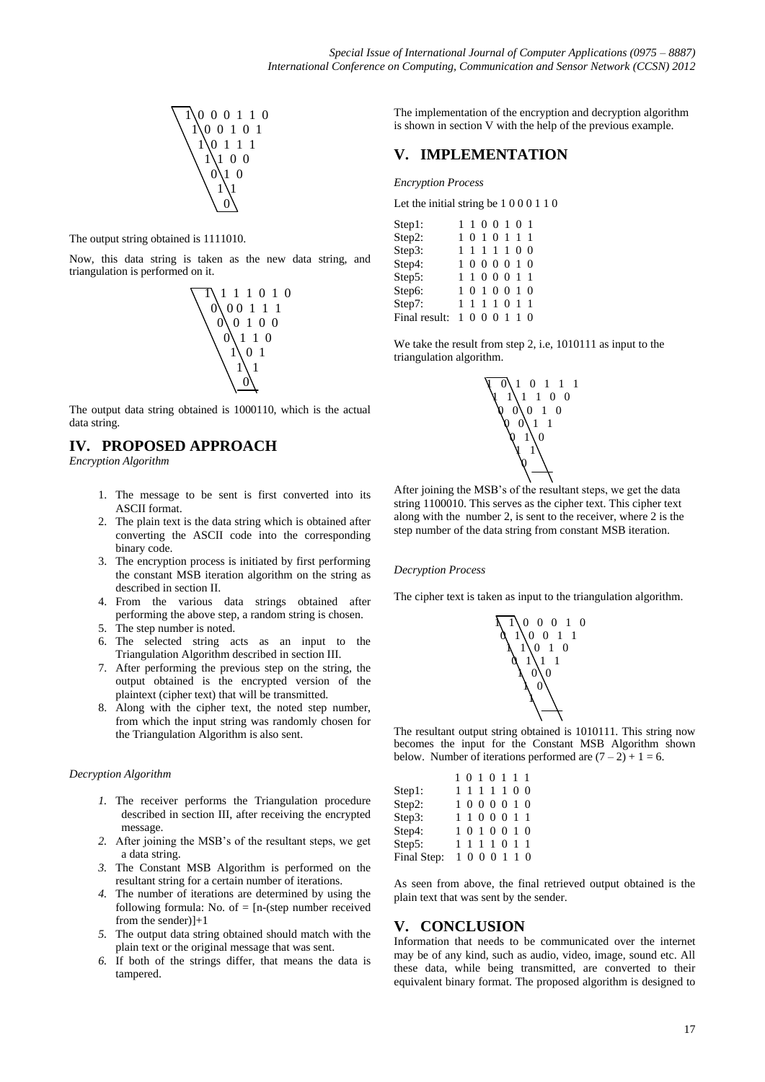

The output string obtained is 1111010.

Now, this data string is taken as the new data string, and triangulation is performed on it.



The output data string obtained is 1000110, which is the actual data string.

# **IV. PROPOSED APPROACH**

*Encryption Algorithm*

- 1. The message to be sent is first converted into its ASCII format.
- 2. The plain text is the data string which is obtained after converting the ASCII code into the corresponding binary code.
- 3. The encryption process is initiated by first performing the constant MSB iteration algorithm on the string as described in section II.
- 4. From the various data strings obtained after performing the above step, a random string is chosen.
- 5. The step number is noted.
- 6. The selected string acts as an input to the Triangulation Algorithm described in section III.
- 7. After performing the previous step on the string, the output obtained is the encrypted version of the plaintext (cipher text) that will be transmitted.
- 8. Along with the cipher text, the noted step number, from which the input string was randomly chosen for the Triangulation Algorithm is also sent.

#### *Decryption Algorithm*

- *1.* The receiver performs the Triangulation procedure described in section III, after receiving the encrypted message.
- *2.* After joining the MSB's of the resultant steps, we get a data string.
- *3.* The Constant MSB Algorithm is performed on the resultant string for a certain number of iterations.
- *4.* The number of iterations are determined by using the following formula: No. of  $=$  [n-(step number received from the sender)]+1
- *5.* The output data string obtained should match with the plain text or the original message that was sent.
- *6.* If both of the strings differ, that means the data is tampered.

The implementation of the encryption and decryption algorithm is shown in section V with the help of the previous example.

# **V. IMPLEMENTATION**

*Encryption Process*

Let the initial string be 1 0 0 0 1 1 0

| Step 1:       | 1 1 0 0 1 0 1 |  |  |  |
|---------------|---------------|--|--|--|
| Step2:        | 1010111       |  |  |  |
| Step3:        | 1 1 1 1 1 0 0 |  |  |  |
| Step4:        | 1 0 0 0 0 1 0 |  |  |  |
| Step5:        | 1 1 0 0 0 1 1 |  |  |  |
| Step6:        | 1010010       |  |  |  |
| Step 7:       | 1 1 1 1 0 1 1 |  |  |  |
| Final result: | 1000110       |  |  |  |

We take the result from step 2, i.e, 1010111 as input to the triangulation algorithm.



After joining the MSB's of the resultant steps, we get the data string 1100010. This serves as the cipher text. This cipher text along with the number 2, is sent to the receiver, where 2 is the step number of the data string from constant MSB iteration.

#### *Decryption Process*

The cipher text is taken as input to the triangulation algorithm.



The resultant output string obtained is 1010111. This string now becomes the input for the Constant MSB Algorithm shown below. Number of iterations performed are  $(7 – 2) + 1 = 6$ .

|             | 1010111       |  |  |  |
|-------------|---------------|--|--|--|
| Step1:      | 1 1 1 1 1 0 0 |  |  |  |
| Step2:      | 1 0 0 0 0 1 0 |  |  |  |
| Step3:      | 1 1 0 0 0 1 1 |  |  |  |
| Step4:      | 1 0 1 0 0 1 0 |  |  |  |
| Step5:      | 1 1 1 1 0 1 1 |  |  |  |
| Final Step: | 1 0 0 0 1 1 0 |  |  |  |

As seen from above, the final retrieved output obtained is the plain text that was sent by the sender.

#### **V. CONCLUSION**

Information that needs to be communicated over the internet may be of any kind, such as audio, video, image, sound etc. All these data, while being transmitted, are converted to their equivalent binary format. The proposed algorithm is designed to